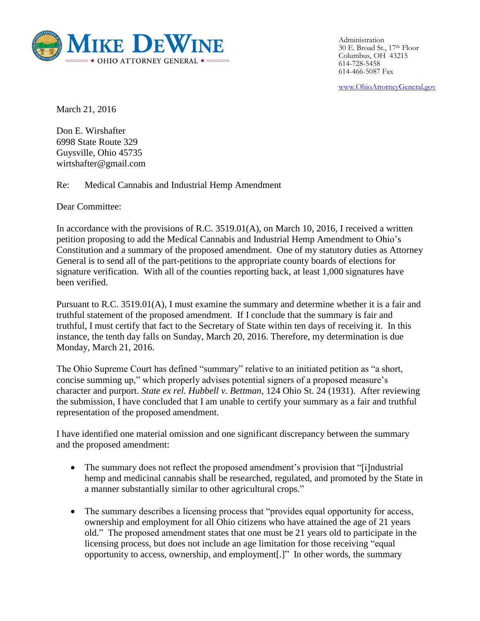

Administration 30 E. Broad St., 17th Floor Columbus, OH 43215 614-728-5458 614-466-5087 Fax

[www.OhioAttorneyGeneral.gov](http://www.ohioattorneygeneral.gov/)

March 21, 2016

Don E. Wirshafter 6998 State Route 329 Guysville, Ohio 45735 wirtshafter@gmail.com

Re: Medical Cannabis and Industrial Hemp Amendment

Dear Committee:

In accordance with the provisions of R.C.  $3519.01(A)$ , on March 10, 2016, I received a written petition proposing to add the Medical Cannabis and Industrial Hemp Amendment to Ohio's Constitution and a summary of the proposed amendment. One of my statutory duties as Attorney General is to send all of the part-petitions to the appropriate county boards of elections for signature verification. With all of the counties reporting back, at least 1,000 signatures have been verified.

Pursuant to R.C. 3519.01(A), I must examine the summary and determine whether it is a fair and truthful statement of the proposed amendment. If I conclude that the summary is fair and truthful, I must certify that fact to the Secretary of State within ten days of receiving it. In this instance, the tenth day falls on Sunday, March 20, 2016. Therefore, my determination is due Monday, March 21, 2016.

The Ohio Supreme Court has defined "summary" relative to an initiated petition as "a short, concise summing up," which properly advises potential signers of a proposed measure's character and purport. *State ex rel. Hubbell v. Bettman*, 124 Ohio St. 24 (1931). After reviewing the submission, I have concluded that I am unable to certify your summary as a fair and truthful representation of the proposed amendment.

I have identified one material omission and one significant discrepancy between the summary and the proposed amendment:

- The summary does not reflect the proposed amendment's provision that "[i]ndustrial hemp and medicinal cannabis shall be researched, regulated, and promoted by the State in a manner substantially similar to other agricultural crops."
- The summary describes a licensing process that "provides equal opportunity for access, ownership and employment for all Ohio citizens who have attained the age of 21 years old." The proposed amendment states that one must be 21 years old to participate in the licensing process, but does not include an age limitation for those receiving "equal opportunity to access, ownership, and employment[.]" In other words, the summary